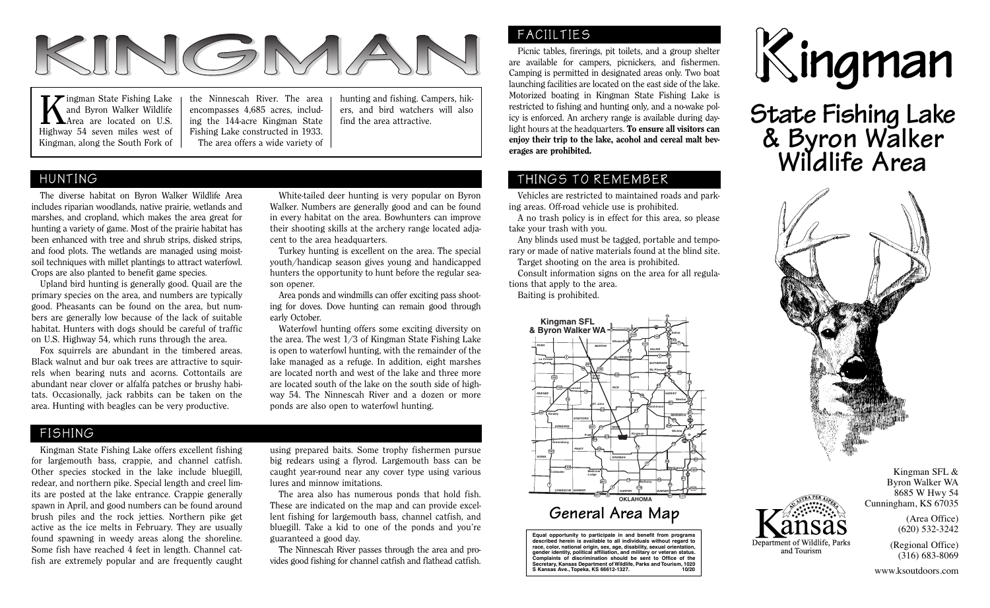

**K**ingman State Fishing Lake<br>and Byron Walker Wildlife<br>Hisbury 54 sourn miles west of and Byron Walker Wildlife Area are located on U.S. Highway 54 seven miles west of Kingman, along the South Fork of the Ninnescah River. The area encompasses 4,685 acres, including the 144-acre Kingman State Fishing Lake constructed in 1933. The area offers a wide variety of

hunting and fishing. Campers, hikers, and bird watchers will also find the area attractive.

### HUNTING

 The diverse habitat on Byron Walker Wildlife Area includes riparian woodlands, native prairie, wetlands and marshes, and cropland, which makes the area great for hunting a variety of game. Most of the prairie habitat has been enhanced with tree and shrub strips, disked strips, and food plots. The wetlands are managed using moistsoil techniques with millet plantings to attract waterfowl. Crops are also planted to benefit game species.

 Upland bird hunting is generally good. Quail are the primary species on the area, and numbers are typically good. Pheasants can be found on the area, but numbers are generally low because of the lack of suitable habitat. Hunters with dogs should be careful of traffic on U.S. Highway 54, which runs through the area.

 Fox squirrels are abundant in the timbered areas. Black walnut and bur oak trees are attractive to squirrels when bearing nuts and acorns. Cottontails are abundant near clover or alfalfa patches or brushy habitats. Occasionally, jack rabbits can be taken on the area. Hunting with beagles can be very productive.

 White-tailed deer hunting is very popular on Byron Walker. Numbers are generally good and can be found in every habitat on the area. Bowhunters can improve their shooting skills at the archery range located adjacent to the area headquarters.

 Turkey hunting is excellent on the area. The special youth/handicap season gives young and handicapped hunters the opportunity to hunt before the regular season opener.

 Area ponds and windmills can offer exciting pass shooting for doves. Dove hunting can remain good through early October.

 Waterfowl hunting offers some exciting diversity on the area. The west 1/3 of Kingman State Fishing Lake is open to waterfowl hunting, with the remainder of the lake managed as a refuge. In addition, eight marshes are located north and west of the lake and three more are located south of the lake on the south side of highway 54. The Ninnescah River and a dozen or more ponds are also open to waterfowl hunting.

#### FISHING

 Kingman State Fishing Lake offers excellent fishing for largemouth bass, crappie, and channel catfish. Other species stocked in the lake include bluegill, redear, and northern pike. Special length and creel limits are posted at the lake entrance. Crappie generally spawn in April, and good numbers can be found around brush piles and the rock jetties. Northern pike get active as the ice melts in February. They are usually found spawning in weedy areas along the shoreline. Some fish have reached 4 feet in length. Channel catfish are extremely popular and are frequently caught

using prepared baits. Some trophy fishermen pursue big redears using a flyrod. Largemouth bass can be caught year-round near any cover type using various lures and minnow imitations.

 The area also has numerous ponds that hold fish. These are indicated on the map and can provide excellent fishing for largemouth bass, channel catfish, and bluegill. Take a kid to one of the ponds and you're guaranteed a good day.

 The Ninnescah River passes through the area and provides good fishing for channel catfish and flathead catfish.

#### FACIILTIES

 Picnic tables, firerings, pit toilets, and a group shelter are available for campers, picnickers, and fishermen. Camping is permitted in designated areas only. Two boat launching facilities are located on the east side of the lake. Motorized boating in Kingman State Fishing Lake is restricted to fishing and hunting only, and a no-wake policy is enforced. An archery range is available during daylight hours at the headquarters. To ensure all visitors can enjoy their trip to the lake, acohol and cereal malt beverages are prohibited.

## THINGS TO REMEMBER

 Vehicles are restricted to maintained roads and parking areas. Off-road vehicle use is prohibited.

 A no trash policy is in effect for this area, so please take your trash with you.

 Any blinds used must be tagged, portable and temporary or made of native materials found at the blind site.

 Target shooting on the area is prohibited. Consult information signs on the area for all regula-

tions that apply to the area.

Baiting is prohibited.



# **General Area Map**

**Equal opportunity to participate in and benefit from programs described herein is available to all individuals without regard to race, color, national origin, sex, age, disability, sexual orientation, gender identity, political affiliation, and military or veteran status. Complaints of discrimination should be sent to Office of the Secretary, Kansas Department of Wildlife, Parks and Tourism, 1020 S Kansas Ave., Topeka, KS 66612-1327. 10/20**



**State Fishing Lake & Byron Walker Wildlife Area**





Byron Walker WA 8685 W Hwy 54 Cunningham, KS 67035

(Area Office) (620) 532-3242

Kingman SFL &

(Regional Office) (316) 683-8069